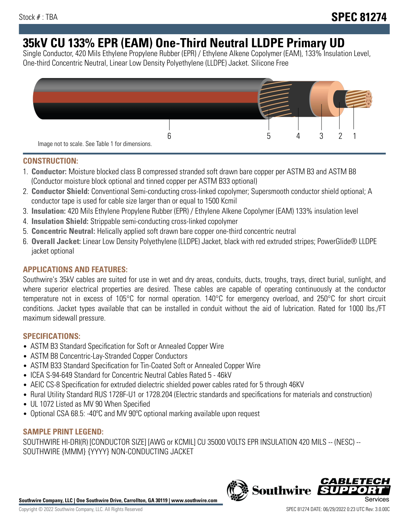# **35kV CU 133% EPR (EAM) One-Third Neutral LLDPE Primary UD**

Single Conductor, 420 Mils Ethylene Propylene Rubber (EPR) / Ethylene Alkene Copolymer (EAM), 133% Insulation Level, One-third Concentric Neutral, Linear Low Density Polyethylene (LLDPE) Jacket. Silicone Free



## **CONSTRUCTION:**

- 1. **Conductor:** Moisture blocked class B compressed stranded soft drawn bare copper per ASTM B3 and ASTM B8 (Conductor moisture block optional and tinned copper per ASTM B33 optional)
- 2. **Conductor Shield:** Conventional Semi-conducting cross-linked copolymer; Supersmooth conductor shield optional; A conductor tape is used for cable size larger than or equal to 1500 Kcmil
- 3. **Insulation:** 420 Mils Ethylene Propylene Rubber (EPR) / Ethylene Alkene Copolymer (EAM) 133% insulation level
- 4. **Insulation Shield:** Strippable semi-conducting cross-linked copolymer
- 5. **Concentric Neutral:** Helically applied soft drawn bare copper one-third concentric neutral
- 6. **Overall Jacket:** Linear Low Density Polyethylene (LLDPE) Jacket, black with red extruded stripes; PowerGlide® LLDPE jacket optional

# **APPLICATIONS AND FEATURES:**

Southwire's 35kV cables are suited for use in wet and dry areas, conduits, ducts, troughs, trays, direct burial, sunlight, and where superior electrical properties are desired. These cables are capable of operating continuously at the conductor temperature not in excess of 105°C for normal operation. 140°C for emergency overload, and 250°C for short circuit conditions. Jacket types available that can be installed in conduit without the aid of lubrication. Rated for 1000 lbs./FT maximum sidewall pressure.

## **SPECIFICATIONS:**

- ASTM B3 Standard Specification for Soft or Annealed Copper Wire
- ASTM B8 Concentric-Lay-Stranded Copper Conductors
- ASTM B33 Standard Specification for Tin-Coated Soft or Annealed Copper Wire
- ICEA S-94-649 Standard for Concentric Neutral Cables Rated 5 46kV
- AEIC CS-8 Specification for extruded dielectric shielded power cables rated for 5 through 46KV
- Rural Utility Standard RUS 1728F-U1 or 1728.204 (Electric standards and specifications for materials and construction)
- UL 1072 Listed as MV 90 When Specified
- Optional CSA 68.5: -40°C and MV 90°C optional marking available upon request

# **SAMPLE PRINT LEGEND:**

SOUTHWIRE HI-DRI(R) [CONDUCTOR SIZE] [AWG or KCMIL] CU 35000 VOLTS EPR INSULATION 420 MILS -- (NESC) -- SOUTHWIRE {MMM} {YYYY} NON-CONDUCTING JACKET

**Southwire Company, LLC | One Southwire Drive, Carrollton, GA 30119 | www.southwire.com**